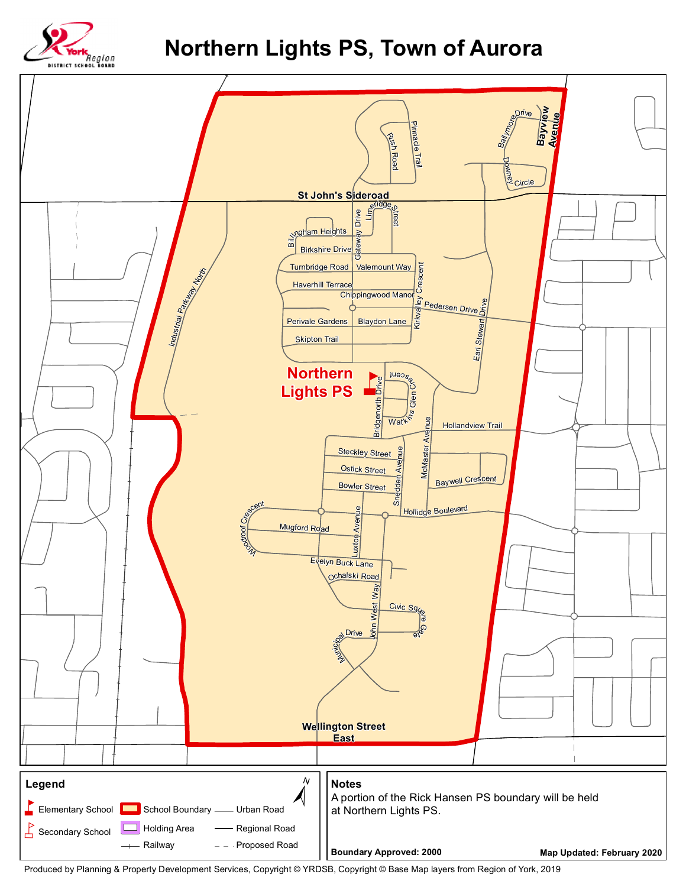

## **Northern Lights PS, Town of Aurora**



Produced by Planning & Property Development Services, Copyright © YRDSB, Copyright © Base Map layers from Region of York, 2019